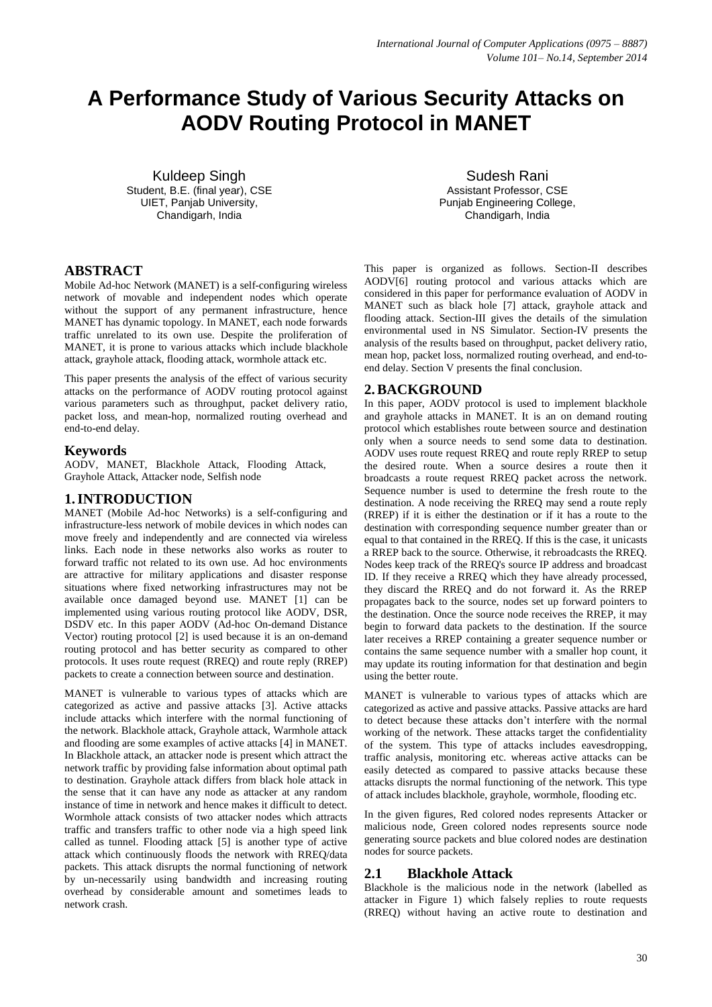# **A Performance Study of Various Security Attacks on AODV Routing Protocol in MANET**

Kuldeep Singh Student, B.E. (final year), CSE UIET, Panjab University, Chandigarh, India

#### **ABSTRACT**

Mobile Ad-hoc Network (MANET) is a self-configuring wireless network of movable and independent nodes which operate without the support of any permanent infrastructure, hence MANET has dynamic topology. In MANET, each node forwards traffic unrelated to its own use. Despite the proliferation of MANET, it is prone to various attacks which include blackhole attack, grayhole attack, flooding attack, wormhole attack etc.

This paper presents the analysis of the effect of various security attacks on the performance of AODV routing protocol against various parameters such as throughput, packet delivery ratio, packet loss, and mean-hop, normalized routing overhead and end-to-end delay.

#### **Keywords**

AODV, MANET, Blackhole Attack, Flooding Attack, Grayhole Attack, Attacker node, Selfish node

### **1.INTRODUCTION**

MANET (Mobile Ad-hoc Networks) is a self-configuring and infrastructure-less network of mobile devices in which nodes can move freely and independently and are connected via wireless links. Each node in these networks also works as router to forward traffic not related to its own use. Ad hoc environments are attractive for military applications and disaster response situations where fixed networking infrastructures may not be available once damaged beyond use. MANET [1] can be implemented using various routing protocol like AODV, DSR, DSDV etc. In this paper AODV (Ad-hoc On-demand Distance Vector) routing protocol [2] is used because it is an on-demand routing protocol and has better security as compared to other protocols. It uses route request (RREQ) and route reply (RREP) packets to create a connection between source and destination.

MANET is vulnerable to various types of attacks which are categorized as active and passive attacks [3]. Active attacks include attacks which interfere with the normal functioning of the network. Blackhole attack, Grayhole attack, Warmhole attack and flooding are some examples of active attacks [4] in MANET. In Blackhole attack, an attacker node is present which attract the network traffic by providing false information about optimal path to destination. Grayhole attack differs from black hole attack in the sense that it can have any node as attacker at any random instance of time in network and hence makes it difficult to detect. Wormhole attack consists of two attacker nodes which attracts traffic and transfers traffic to other node via a high speed link called as tunnel. Flooding attack [5] is another type of active attack which continuously floods the network with RREQ/data packets. This attack disrupts the normal functioning of network by un-necessarily using bandwidth and increasing routing overhead by considerable amount and sometimes leads to network crash.

Sudesh Rani Assistant Professor, CSE Punjab Engineering College, Chandigarh, India

This paper is organized as follows. Section-II describes AODV[6] routing protocol and various attacks which are considered in this paper for performance evaluation of AODV in MANET such as black hole [7] attack, grayhole attack and flooding attack. Section-III gives the details of the simulation environmental used in NS Simulator. Section-IV presents the analysis of the results based on throughput, packet delivery ratio, mean hop, packet loss, normalized routing overhead, and end-toend delay. Section V presents the final conclusion.

# **2.BACKGROUND**

In this paper, AODV protocol is used to implement blackhole and grayhole attacks in MANET. It is an on demand routing protocol which establishes route between source and destination only when a source needs to send some data to destination. AODV uses route request RREQ and route reply RREP to setup the desired route. When a source desires a route then it broadcasts a route request RREQ packet across the network. Sequence number is used to determine the fresh route to the destination. A node receiving the RREQ may send a route reply (RREP) if it is either the destination or if it has a route to the destination with corresponding sequence number greater than or equal to that contained in the RREQ. If this is the case, it unicasts a RREP back to the source. Otherwise, it rebroadcasts the RREQ. Nodes keep track of the RREQ's source IP address and broadcast ID. If they receive a RREQ which they have already processed, they discard the RREQ and do not forward it. As the RREP propagates back to the source, nodes set up forward pointers to the destination. Once the source node receives the RREP, it may begin to forward data packets to the destination. If the source later receives a RREP containing a greater sequence number or contains the same sequence number with a smaller hop count, it may update its routing information for that destination and begin using the better route.

MANET is vulnerable to various types of attacks which are categorized as active and passive attacks. Passive attacks are hard to detect because these attacks don't interfere with the normal working of the network. These attacks target the confidentiality of the system. This type of attacks includes eavesdropping, traffic analysis, monitoring etc. whereas active attacks can be easily detected as compared to passive attacks because these attacks disrupts the normal functioning of the network. This type of attack includes blackhole, grayhole, wormhole, flooding etc.

In the given figures, Red colored nodes represents Attacker or malicious node, Green colored nodes represents source node generating source packets and blue colored nodes are destination nodes for source packets.

# **2.1 Blackhole Attack**

Blackhole is the malicious node in the network (labelled as attacker in Figure 1) which falsely replies to route requests (RREQ) without having an active route to destination and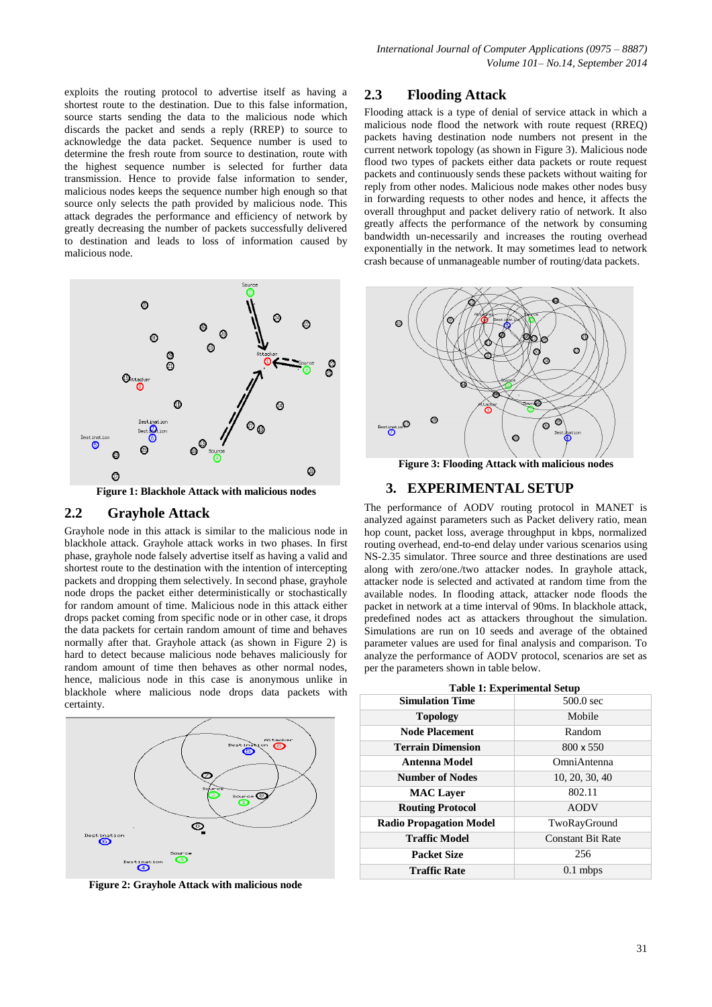exploits the routing protocol to advertise itself as having a shortest route to the destination. Due to this false information, source starts sending the data to the malicious node which discards the packet and sends a reply (RREP) to source to acknowledge the data packet. Sequence number is used to determine the fresh route from source to destination, route with the highest sequence number is selected for further data transmission. Hence to provide false information to sender, malicious nodes keeps the sequence number high enough so that source only selects the path provided by malicious node. This attack degrades the performance and efficiency of network by greatly decreasing the number of packets successfully delivered to destination and leads to loss of information caused by malicious node.



**Figure 1: Blackhole Attack with malicious nodes**

#### **2.2 Grayhole Attack**

Grayhole node in this attack is similar to the malicious node in blackhole attack. Grayhole attack works in two phases. In first phase, grayhole node falsely advertise itself as having a valid and shortest route to the destination with the intention of intercepting packets and dropping them selectively. In second phase, grayhole node drops the packet either deterministically or stochastically for random amount of time. Malicious node in this attack either drops packet coming from specific node or in other case, it drops the data packets for certain random amount of time and behaves normally after that. Grayhole attack (as shown in Figure 2) is hard to detect because malicious node behaves maliciously for random amount of time then behaves as other normal nodes, hence, malicious node in this case is anonymous unlike in blackhole where malicious node drops data packets with certainty.



**Figure 2: Grayhole Attack with malicious node**

# **2.3 Flooding Attack**

Flooding attack is a type of denial of service attack in which a malicious node flood the network with route request (RREQ) packets having destination node numbers not present in the current network topology (as shown in Figure 3). Malicious node flood two types of packets either data packets or route request packets and continuously sends these packets without waiting for reply from other nodes. Malicious node makes other nodes busy in forwarding requests to other nodes and hence, it affects the overall throughput and packet delivery ratio of network. It also greatly affects the performance of the network by consuming bandwidth un-necessarily and increases the routing overhead exponentially in the network. It may sometimes lead to network crash because of unmanageable number of routing/data packets.



**Figure 3: Flooding Attack with malicious nodes**

#### **3. EXPERIMENTAL SETUP**

The performance of AODV routing protocol in MANET is analyzed against parameters such as Packet delivery ratio, mean hop count, packet loss, average throughput in kbps, normalized routing overhead, end-to-end delay under various scenarios using NS-2.35 simulator. Three source and three destinations are used along with zero/one./two attacker nodes. In grayhole attack, attacker node is selected and activated at random time from the available nodes. In flooding attack, attacker node floods the packet in network at a time interval of 90ms. In blackhole attack, predefined nodes act as attackers throughout the simulation. Simulations are run on 10 seeds and average of the obtained parameter values are used for final analysis and comparison. To analyze the performance of AODV protocol, scenarios are set as per the parameters shown in table below.

| <b>Table 1: Experimental Setup</b> |                   |
|------------------------------------|-------------------|
| <b>Simulation Time</b>             | $500.0$ sec       |
| <b>Topology</b>                    | Mobile            |
| <b>Node Placement</b>              | Random            |
| <b>Terrain Dimension</b>           | $800 \times 550$  |
| Antenna Model                      | Omni Antenna      |
| <b>Number of Nodes</b>             | 10, 20, 30, 40    |
| <b>MAC Layer</b>                   | 802.11            |
| <b>Routing Protocol</b>            | <b>AODV</b>       |
| <b>Radio Propagation Model</b>     | TwoRayGround      |
| <b>Traffic Model</b>               | Constant Bit Rate |
| <b>Packet Size</b>                 | 256               |
| <b>Traffic Rate</b>                | $0.1$ mbps        |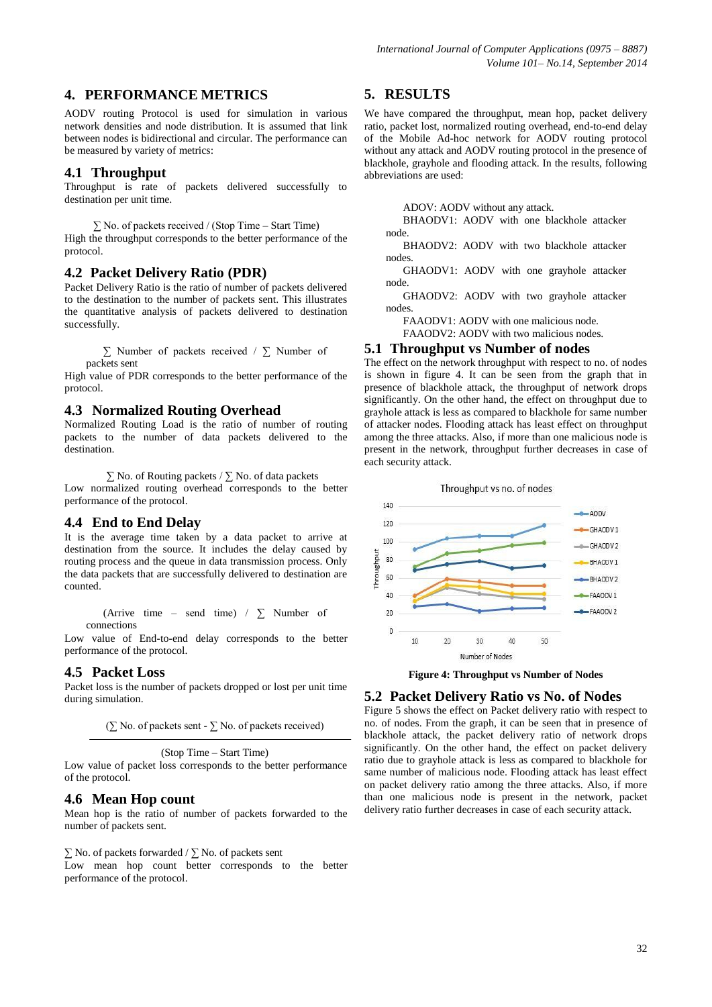# **4. PERFORMANCE METRICS**

AODV routing Protocol is used for simulation in various network densities and node distribution. It is assumed that link between nodes is bidirectional and circular. The performance can be measured by variety of metrics:

#### **4.1 Throughput**

Throughput is rate of packets delivered successfully to destination per unit time.

 $\Sigma$  No. of packets received / (Stop Time – Start Time) High the throughput corresponds to the better performance of the protocol.

#### **4.2 Packet Delivery Ratio (PDR)**

Packet Delivery Ratio is the ratio of number of packets delivered to the destination to the number of packets sent. This illustrates the quantitative analysis of packets delivered to destination successfully.

∑ Number of packets received / ∑ Number of packets sent

High value of PDR corresponds to the better performance of the protocol.

#### **4.3 Normalized Routing Overhead**

Normalized Routing Load is the ratio of number of routing packets to the number of data packets delivered to the destination.

∑ No. of Routing packets / ∑ No. of data packets Low normalized routing overhead corresponds to the better performance of the protocol.

#### **4.4 End to End Delay**

It is the average time taken by a data packet to arrive at destination from the source. It includes the delay caused by routing process and the queue in data transmission process. Only the data packets that are successfully delivered to destination are counted.

(Arrive time – send time) /  $\Sigma$  Number of connections

Low value of End-to-end delay corresponds to the better performance of the protocol.

#### **4.5 Packet Loss**

Packet loss is the number of packets dropped or lost per unit time during simulation.

(∑ No. of packets sent - ∑ No. of packets received)

#### (Stop Time – Start Time)

Low value of packet loss corresponds to the better performance of the protocol.

#### **4.6 Mean Hop count**

Mean hop is the ratio of number of packets forwarded to the number of packets sent.

 $\sum$  No. of packets forwarded /  $\sum$  No. of packets sent Low mean hop count better corresponds to the better performance of the protocol.

# **5. RESULTS**

We have compared the throughput, mean hop, packet delivery ratio, packet lost, normalized routing overhead, end-to-end delay of the Mobile Ad-hoc network for AODV routing protocol without any attack and AODV routing protocol in the presence of blackhole, grayhole and flooding attack. In the results, following abbreviations are used:

ADOV: AODV without any attack.

BHAODV1: AODV with one blackhole attacker node.

BHAODV2: AODV with two blackhole attacker nodes.

GHAODV1: AODV with one grayhole attacker node.

GHAODV2: AODV with two grayhole attacker nodes.

FAAODV1: AODV with one malicious node.

FAAODV2: AODV with two malicious nodes.

#### **5.1 Throughput vs Number of nodes**

The effect on the network throughput with respect to no. of nodes is shown in figure 4. It can be seen from the graph that in presence of blackhole attack, the throughput of network drops significantly. On the other hand, the effect on throughput due to grayhole attack is less as compared to blackhole for same number of attacker nodes. Flooding attack has least effect on throughput among the three attacks. Also, if more than one malicious node is present in the network, throughput further decreases in case of each security attack.



**Figure 4: Throughput vs Number of Nodes**

# **5.2 Packet Delivery Ratio vs No. of Nodes**

Figure 5 shows the effect on Packet delivery ratio with respect to no. of nodes. From the graph, it can be seen that in presence of blackhole attack, the packet delivery ratio of network drops significantly. On the other hand, the effect on packet delivery ratio due to grayhole attack is less as compared to blackhole for same number of malicious node. Flooding attack has least effect on packet delivery ratio among the three attacks. Also, if more than one malicious node is present in the network, packet delivery ratio further decreases in case of each security attack.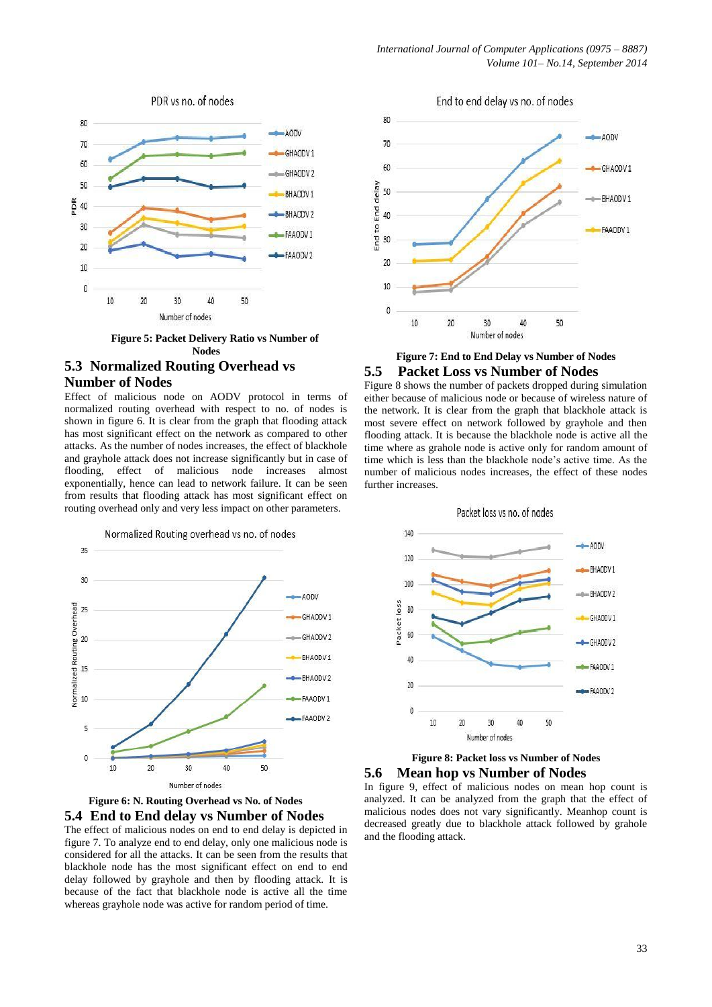

**Figure 5: Packet Delivery Ratio vs Number of Nodes**

# **5.3 Normalized Routing Overhead vs**

#### **Number of Nodes**

Effect of malicious node on AODV protocol in terms of normalized routing overhead with respect to no. of nodes is shown in figure 6. It is clear from the graph that flooding attack has most significant effect on the network as compared to other attacks. As the number of nodes increases, the effect of blackhole and grayhole attack does not increase significantly but in case of flooding, effect of malicious node increases almost exponentially, hence can lead to network failure. It can be seen from results that flooding attack has most significant effect on routing overhead only and very less impact on other parameters.



**Figure 6: N. Routing Overhead vs No. of Nodes 5.4 End to End delay vs Number of Nodes**

The effect of malicious nodes on end to end delay is depicted in figure 7. To analyze end to end delay, only one malicious node is considered for all the attacks. It can be seen from the results that blackhole node has the most significant effect on end to end delay followed by grayhole and then by flooding attack. It is because of the fact that blackhole node is active all the time whereas grayhole node was active for random period of time.





Figure 8 shows the number of packets dropped during simulation either because of malicious node or because of wireless nature of the network. It is clear from the graph that blackhole attack is most severe effect on network followed by grayhole and then flooding attack. It is because the blackhole node is active all the time where as grahole node is active only for random amount of time which is less than the blackhole node's active time. As the number of malicious nodes increases, the effect of these nodes further increases.





In figure 9, effect of malicious nodes on mean hop count is analyzed. It can be analyzed from the graph that the effect of malicious nodes does not vary significantly. Meanhop count is decreased greatly due to blackhole attack followed by grahole and the flooding attack.